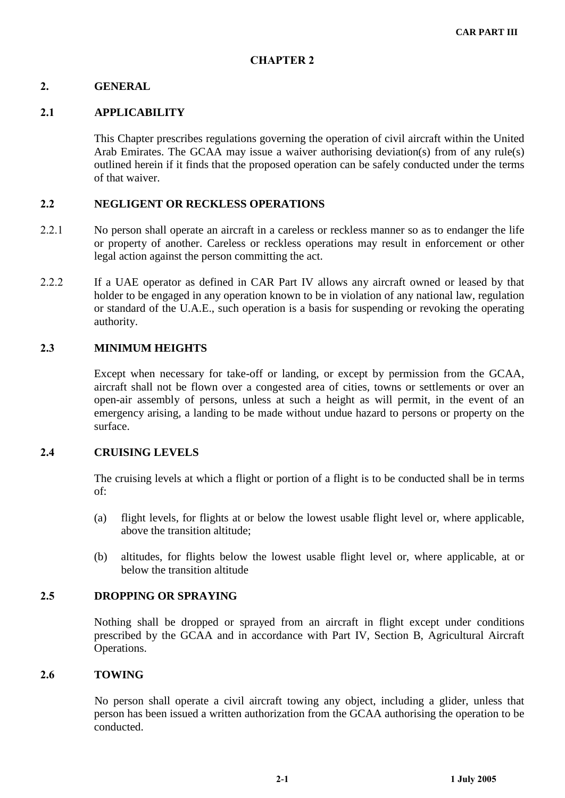# **CHAPTER 2**

## **GENERAL**

#### **. APPLICABILITY**

This Chapter prescribes regulations governing the operation of civil aircraft within the United Arab Emirates. The GCAA may issue a waiver authorising deviation(s) from of any rule(s) outlined herein if it finds that the proposed operation can be safely conducted under the terms of that waiver.

#### **NEGLIGENT OR RECKLESS OPERATIONS**

- No person shall operate an aircraft in a careless or reckless manner so as to endanger the life or property of another. Careless or reckless operations may result in enforcement or other legal action against the person committing the act.
- 2.2.2 If a UAE operator as defined in CAR Part IV allows any aircraft owned or leased by that holder to be engaged in any operation known to be in violation of any national law, regulation or standard of the U.A.E., such operation is a basis for suspending or revoking the operating authority.

# **MINIMUM HEIGHTS**

Except when necessary for take-off or landing, or except by permission from the GCAA, aircraft shall not be flown over a congested area of cities, towns or settlements or over an open-air assembly of persons, unless at such a height as will permit, in the event of an emergency arising, a landing to be made without undue hazard to persons or property on the surface.

#### **CRUISING LEVELS**

The cruising levels at which a flight or portion of a flight is to be conducted shall be in terms of:

- (a) flight levels, for flights at or below the lowest usable flight level or, where applicable, above the transition altitude;
- (b) altitudes, for flights below the lowest usable flight level or, where applicable, at or below the transition altitude

## **DROPPING OR SPRAYING**

Nothing shall be dropped or sprayed from an aircraft in flight except under conditions prescribed by the GCAA and in accordance with Part IV, Section B, Agricultural Aircraft Operations.

#### **TOWING**

No person shall operate a civil aircraft towing any object, including a glider, unless that person has been issued a written authorization from the GCAA authorising the operation to be conducted.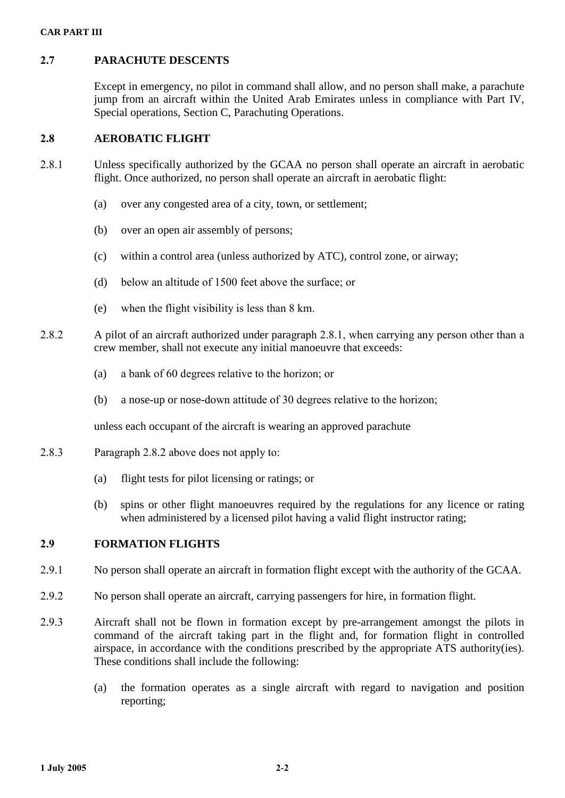# **PARACHUTE DESCENTS**

Except in emergency, no pilot in command shall allow, and no person shall make, a parachute jump from an aircraft within the United Arab Emirates unless in compliance with Part IV, Special operations, Section C, Parachuting Operations.

# **AEROBATIC FLIGHT**

- 2.8.1 Unless specifically authorized by the GCAA no person shall operate an aircraft in aerobatic flight. Once authorized, no person shall operate an aircraft in aerobatic flight:
	- (a) over any congested area of a city, town, or settlement;
	- (b) over an open air assembly of persons;
	- (c) within a control area (unless authorized by ATC), control zone, or airway;
	- (d) below an altitude of  $1500$  feet above the surface: or
	- (e) when the flight visibility is less than  $8 \text{ km}$ .
- 2.8.2 A pilot of an aircraft authorized under paragraph 2.8.1, when carrying any person other than a crew member, shall not execute any initial manoeuvre that exceeds:
	- (a) a bank of 60 degrees relative to the horizon; or
	- (b) a nose-up or nose-down attitude of 30 degrees relative to the horizon;

unless each occupant of the aircraft is wearing an approved parachute

- 2.8.3 Paragraph 2.8.2 above does not apply to:
	- (a) flight tests for pilot licensing or ratings; or
	- (b) spins or other flight manoeuvres required by the regulations for any licence or rating when administered by a licensed pilot having a valid flight instructor rating;

# **FORMATION FLIGHTS**

- 2.9.1 No person shall operate an aircraft in formation flight except with the authority of the GCAA.
- 2.9.2 No person shall operate an aircraft, carrying passengers for hire, in formation flight.
- 2.9.3 Aircraft shall not be flown in formation except by pre-arrangement amongst the pilots in command of the aircraft taking part in the flight and, for formation flight in controlled airspace, in accordance with the conditions prescribed by the appropriate ATS authority(ies). These conditions shall include the following:
	- (a) the formation operates as a single aircraft with regard to navigation and position reporting;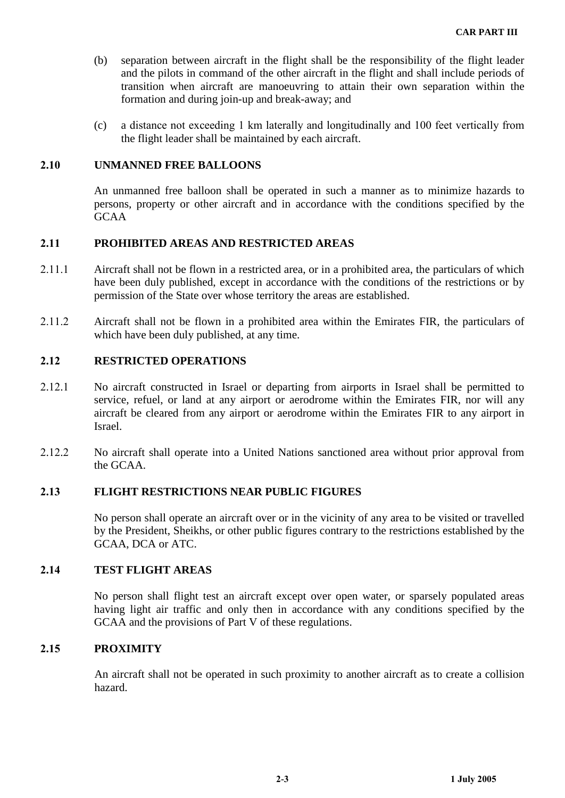- (b) separation between aircraft in the flight shall be the responsibility of the flight leader and the pilots in command of the other aircraft in the flight and shall include periods of transition when aircraft are manoeuvring to attain their own separation within the formation and during join-up and break-away; and
- (c) a distance not exceeding 1 km laterally and longitudinally and 100 feet vertically from the flight leader shall be maintained by each aircraft.

#### **UNMANNED FREE BALLOONS**

An unmanned free balloon shall be operated in such a manner as to minimize hazards to persons, property or other aircraft and in accordance with the conditions specified by the GCAA

## **PROHIBITED AREAS AND RESTRICTED AREAS**

- Aircraft shall not be flown in a restricted area, or in a prohibited area, the particulars of which have been duly published, except in accordance with the conditions of the restrictions or by permission of the State over whose territory the areas are established.
- Aircraft shall not be flown in a prohibited area within the Emirates FIR, the particulars of which have been duly published, at any time.

#### **RESTRICTED OPERATIONS**

- 2.12.1 No aircraft constructed in Israel or departing from airports in Israel shall be permitted to service, refuel, or land at any airport or aerodrome within the Emirates FIR, nor will any aircraft be cleared from any airport or aerodrome within the Emirates FIR to any airport in Israel.
- 2.12.2 No aircraft shall operate into a United Nations sanctioned area without prior approval from the GCAA.

#### **FLIGHT RESTRICTIONS NEAR PUBLIC FIGURES**

No person shall operate an aircraft over or in the vicinity of any area to be visited or travelled by the President, Sheikhs, or other public figures contrary to the restrictions established by the GCAA, DCA or ATC.

# **TEST FLIGHT AREAS**

No person shall flight test an aircraft except over open water, or sparsely populated areas having light air traffic and only then in accordance with any conditions specified by the GCAA and the provisions of Part V of these regulations.

#### **PROXIMITY**

An aircraft shall not be operated in such proximity to another aircraft as to create a collision hazard.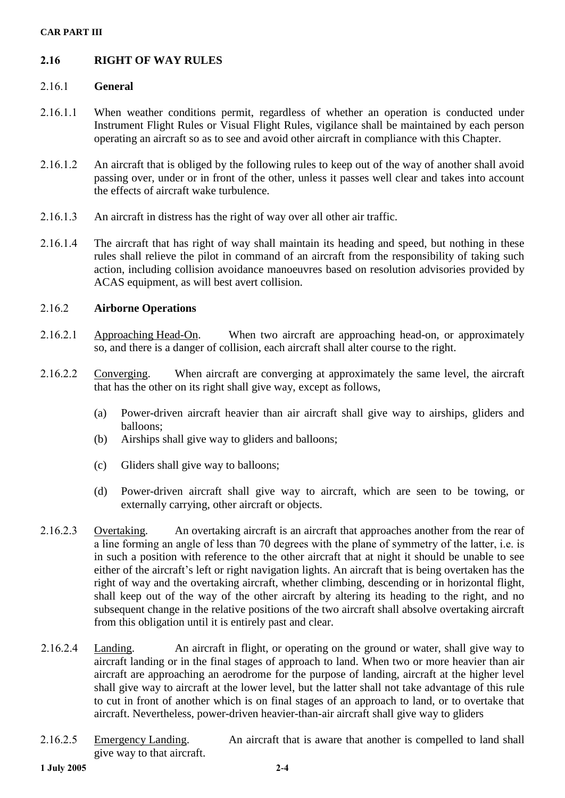#### **CAR PART III**

# **RIGHT OF WAY RULES**

## **General**

- When weather conditions permit, regardless of whether an operation is conducted under Instrument Flight Rules or Visual Flight Rules, vigilance shall be maintained by each person operating an aircraft so as to see and avoid other aircraft in compliance with this Chapter.
- An aircraft that is obliged by the following rules to keep out of the way of another shall avoid passing over, under or in front of the other, unless it passes well clear and takes into account the effects of aircraft wake turbulence.
- 2.16.1.3 An aircraft in distress has the right of way over all other air traffic.
- 2.16.1.4 The aircraft that has right of way shall maintain its heading and speed, but nothing in these rules shall relieve the pilot in command of an aircraft from the responsibility of taking such action, including collision avoidance manoeuvres based on resolution advisories provided by ACAS equipment, as will best avert collision.

## **Airborne Operations**

- 2.16.2.1 Approaching Head-On. When two aircraft are approaching head-on, or approximately so, and there is a danger of collision, each aircraft shall alter course to the right.
- 2.16.2.2 Converging. When aircraft are converging at approximately the same level, the aircraft that has the other on its right shall give way, except as follows,
	- (a) Power-driven aircraft heavier than air aircraft shall give way to airships, gliders and balloons;
	- (b) Airships shall give way to gliders and balloons;
	- (c) Gliders shall give way to balloons;
	- (d) Power-driven aircraft shall give way to aircraft, which are seen to be towing, or externally carrying, other aircraft or objects.
- 2.16.2.3 Overtaking. An overtaking aircraft is an aircraft that approaches another from the rear of a line forming an angle of less than 70 degrees with the plane of symmetry of the latter, i.e. is in such a position with reference to the other aircraft that at night it should be unable to see either of the aircraft's left or right navigation lights. An aircraft that is being overtaken has the right of way and the overtaking aircraft, whether climbing, descending or in horizontal flight, shall keep out of the way of the other aircraft by altering its heading to the right, and no subsequent change in the relative positions of the two aircraft shall absolve overtaking aircraft from this obligation until it is entirely past and clear.
- 2.16.2.4 Landing. An aircraft in flight, or operating on the ground or water, shall give way to aircraft landing or in the final stages of approach to land. When two or more heavier than air aircraft are approaching an aerodrome for the purpose of landing, aircraft at the higher level shall give way to aircraft at the lower level, but the latter shall not take advantage of this rule to cut in front of another which is on final stages of an approach to land, or to overtake that aircraft. Nevertheless, power-driven heavier-than-air aircraft shall give way to gliders
- 2.16.2.5 Emergency Landing. An aircraft that is aware that another is compelled to land shall give way to that aircraft.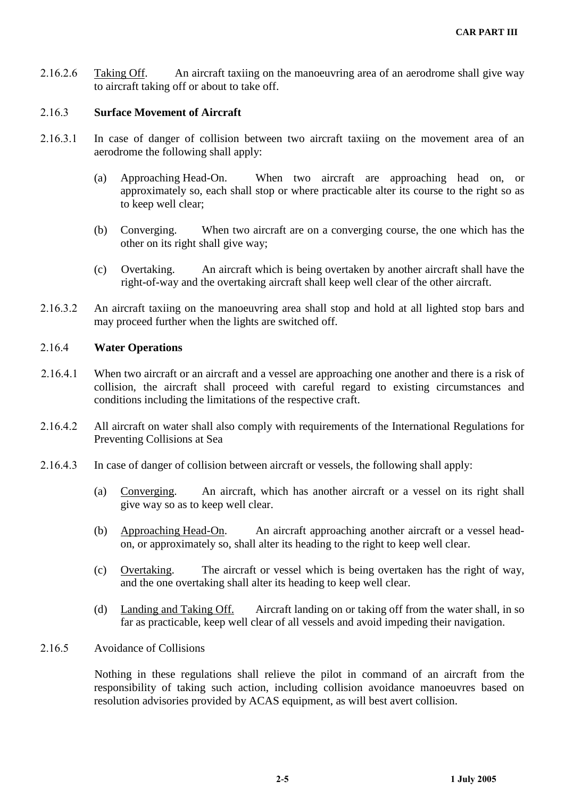2.16.2.6 Taking Off. An aircraft taxiing on the manoeuvring area of an aerodrome shall give way to aircraft taking off or about to take off.

#### **Surface Movement of Aircraft**

- 2.16.3.1 In case of danger of collision between two aircraft taxiing on the movement area of an aerodrome the following shall apply:
	- (a) Approaching Head-On. When two aircraft are approaching head on, or approximately so, each shall stop or where practicable alter its course to the right so as to keep well clear;
	- (b) Converging. When two aircraft are on a converging course, the one which has the other on its right shall give way;
	- (c) Overtaking. An aircraft which is being overtaken by another aircraft shall have the right-of-way and the overtaking aircraft shall keep well clear of the other aircraft.
- 2.16.3.2 An aircraft taxiing on the manoeuvring area shall stop and hold at all lighted stop bars and may proceed further when the lights are switched off.

## **Water Operations**

- When two aircraft or an aircraft and a vessel are approaching one another and there is a risk of collision, the aircraft shall proceed with careful regard to existing circumstances and conditions including the limitations of the respective craft.
- All aircraft on water shall also comply with requirements of the International Regulations for Preventing Collisions at Sea
- 2.16.4.3 In case of danger of collision between aircraft or vessels, the following shall apply:
	- (a) Converging. An aircraft, which has another aircraft or a vessel on its right shall give way so as to keep well clear.
	- (b) Approaching Head-On. An aircraft approaching another aircraft or a vessel head on, or approximately so, shall alter its heading to the right to keep well clear.
	- (c) Overtaking. The aircraft or vessel which is being overtaken has the right of way, and the one overtaking shall alter its heading to keep well clear.
	- (d) Landing and Taking Off. Aircraft landing on or taking off from the water shall, in so far as practicable, keep well clear of all vessels and avoid impeding their navigation.

#### 2.16.5 Avoidance of Collisions

Nothing in these regulations shall relieve the pilot in command of an aircraft from the responsibility of taking such action, including collision avoidance manoeuvres based on resolution advisories provided by ACAS equipment, as will best avert collision.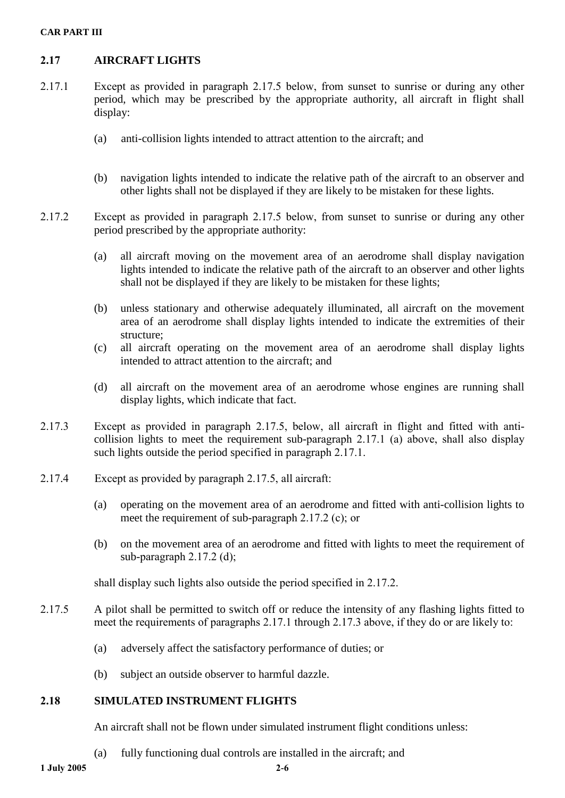#### **CAR PART III**

# **AIRCRAFT LIGHTS**

- $(2.17.1)$  Except as provided in paragraph  $(2.17.5)$  below, from sunset to sunrise or during any other period, which may be prescribed by the appropriate authority, all aircraft in flight shall display:
	- (a) anti-collision lights intended to attract attention to the aircraft; and
	- (b) navigation lights intended to indicate the relative path of the aircraft to an observer and other lights shall not be displayed if they are likely to be mistaken for these lights.
- 2.17.2 Except as provided in paragraph 2.17.5 below, from sunset to sunrise or during any other period prescribed by the appropriate authority:
	- (a) all aircraft moving on the movement area of an aerodrome shall display navigation lights intended to indicate the relative path of the aircraft to an observer and other lights shall not be displayed if they are likely to be mistaken for these lights;
	- (b) unless stationary and otherwise adequately illuminated, all aircraft on the movement area of an aerodrome shall display lights intended to indicate the extremities of their structure;
	- (c) all aircraft operating on the movement area of an aerodrome shall display lights intended to attract attention to the aircraft; and
	- (d) all aircraft on the movement area of an aerodrome whose engines are running shall display lights, which indicate that fact.
- 2.17.3 Except as provided in paragraph 2.17.5, below, all aircraft in flight and fitted with anticollision lights to meet the requirement sub-paragraph  $2.17.1$  (a) above, shall also display such lights outside the period specified in paragraph  $2.17.1$ .
- 2.17.4 Except as provided by paragraph  $2.17.5$ , all aircraft:
	- (a) operating on the movement area of an aerodrome and fitted with anti-collision lights to meet the requirement of sub-paragraph  $2.17.2$  (c); or
	- (b) on the movement area of an aerodrome and fitted with lights to meet the requirement of sub-paragraph  $2.17.2$  (d);

shall display such lights also outside the period specified in  $2.17.2$ .

- 2.17.5 A pilot shall be permitted to switch off or reduce the intensity of any flashing lights fitted to meet the requirements of paragraphs 2.17.1 through 2.17.3 above, if they do or are likely to:
	- (a) adversely affect the satisfactory performance of duties; or
	- (b) subject an outside observer to harmful dazzle.

#### **SIMULATED INSTRUMENT FLIGHTS**

An aircraft shall not be flown under simulated instrument flight conditions unless:

(a) fully functioning dual controls are installed in the aircraft; and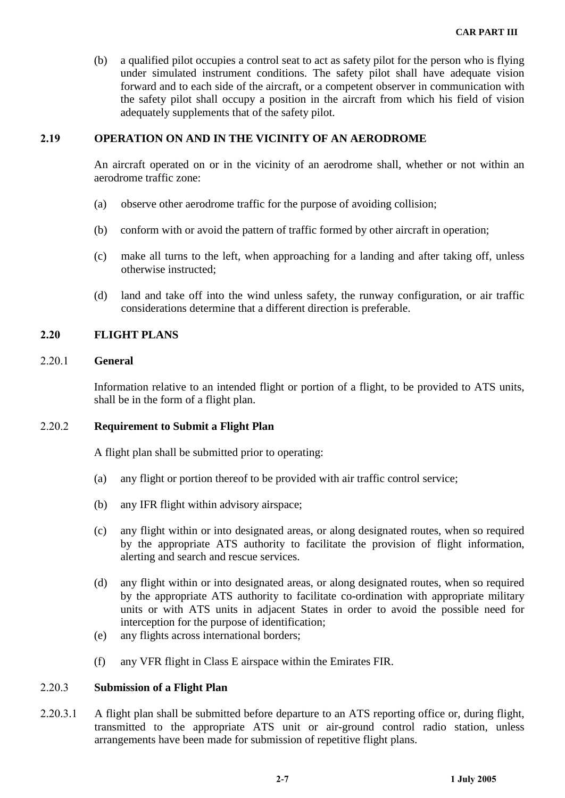(b) a qualified pilot occupies a control seat to act as safety pilot for the person who is flying under simulated instrument conditions. The safety pilot shall have adequate vision forward and to each side of the aircraft, or a competent observer in communication with the safety pilot shall occupy a position in the aircraft from which his field of vision adequately supplements that of the safety pilot.

# **OPERATION ON AND IN THE VICINITY OF AN AERODROME**

An aircraft operated on or in the vicinity of an aerodrome shall, whether or not within an aerodrome traffic zone:

- (a) observe other aerodrome traffic for the purpose of avoiding collision;
- (b) conform with or avoid the pattern of traffic formed by other aircraft in operation;
- (c) make all turns to the left, when approaching for a landing and after taking off, unless otherwise instructed;
- (d) land and take off into the wind unless safety, the runway configuration, or air traffic considerations determine that a different direction is preferable.

# **FLIGHT PLANS**

#### **General**

Information relative to an intended flight or portion of a flight, to be provided to ATS units, shall be in the form of a flight plan.

## **Requirement to Submit a Flight Plan**

A flight plan shall be submitted prior to operating:

- (a) any flight or portion thereof to be provided with air traffic control service;
- (b) any IFR flight within advisory airspace;
- (c) any flight within or into designated areas, or along designated routes, when so required by the appropriate ATS authority to facilitate the provision of flight information, alerting and search and rescue services.
- (d) any flight within or into designated areas, or along designated routes, when so required by the appropriate ATS authority to facilitate co-ordination with appropriate military units or with ATS units in adjacent States in order to avoid the possible need for interception for the purpose of identification;
- (e) any flights across international borders;
- (f) any VFR flight in Class E airspace within the Emirates FIR.

#### **Submission of a Flight Plan**

2.20.3.1 A flight plan shall be submitted before departure to an ATS reporting office or, during flight, transmitted to the appropriate ATS unit or air-ground control radio station, unless arrangements have been made for submission of repetitive flight plans.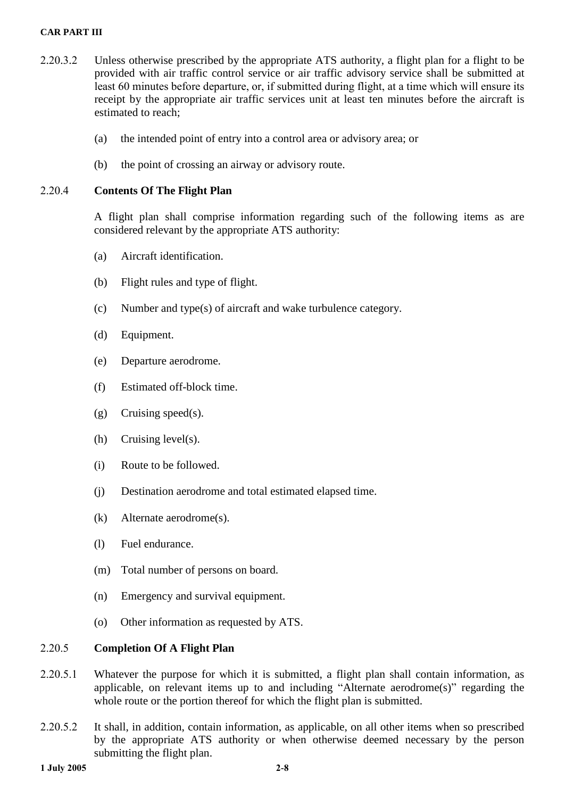#### **CAR PART III**

- 2.20.3.2 Unless otherwise prescribed by the appropriate ATS authority, a flight plan for a flight to be provided with air traffic control service or air traffic advisory service shall be submitted at least 60 minutes before departure, or, if submitted during flight, at a time which will ensure its receipt by the appropriate air traffic services unit at least ten minutes before the aircraft is estimated to reach;
	- (a) the intended point of entry into a control area or advisory area; or
	- (b) the point of crossing an airway or advisory route.

# **Contents Of The Flight Plan**

A flight plan shall comprise information regarding such of the following items as are considered relevant by the appropriate ATS authority:

- (a) Aircraft identification.
- (b) Flight rules and type of flight.
- (c) Number and type(s) of aircraft and wake turbulence category.
- (d) Equipment.
- (e) Departure aerodrome.
- (f) Estimated off-block time.
- (g) Cruising speed(s).
- (h) Cruising level(s).
- (i) Route to be followed.
- (j) Destination aerodrome and total estimated elapsed time.
- (k) Alternate aerodrome(s).
- (l) Fuel endurance.
- (m) Total number of persons on board.
- (n) Emergency and survival equipment.
- (o) Other information as requested by ATS.

# **Completion Of A Flight Plan**

- 2.20.5.1 Whatever the purpose for which it is submitted, a flight plan shall contain information, as applicable, on relevant items up to and including "Alternate aerodrome $(s)$ " regarding the whole route or the portion thereof for which the flight plan is submitted.
- 2.20.5.2 It shall, in addition, contain information, as applicable, on all other items when so prescribed by the appropriate ATS authority or when otherwise deemed necessary by the person submitting the flight plan.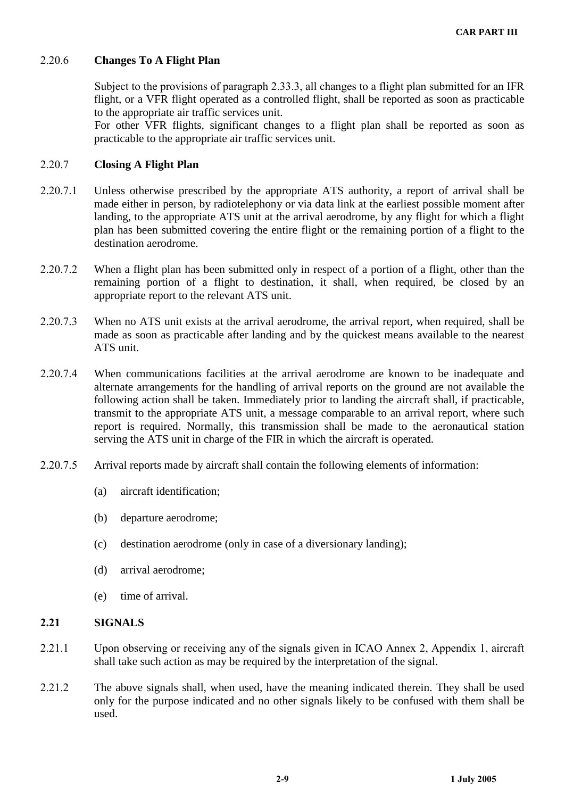# **Changes To A Flight Plan**

Subject to the provisions of paragraph 2.33.3, all changes to a flight plan submitted for an IFR flight, or a VFR flight operated as a controlled flight, shall be reported as soon as practicable to the appropriate air traffic services unit.

For other VFR flights, significant changes to a flight plan shall be reported as soon as practicable to the appropriate air traffic services unit.

## 2.20.7 Closing A Flight Plan

- 2.20.7.1 Unless otherwise prescribed by the appropriate ATS authority, a report of arrival shall be made either in person, by radiotelephony or via data link at the earliest possible moment after landing, to the appropriate ATS unit at the arrival aerodrome, by any flight for which a flight plan has been submitted covering the entire flight or the remaining portion of a flight to the destination aerodrome.
- 2.20.7.2 When a flight plan has been submitted only in respect of a portion of a flight, other than the remaining portion of a flight to destination, it shall, when required, be closed by an appropriate report to the relevant ATS unit.
- 2.20.7.3 When no ATS unit exists at the arrival aerodrome, the arrival report, when required, shall be made as soon as practicable after landing and by the quickest means available to the nearest ATS unit.
- 2.20.7.4 When communications facilities at the arrival aerodrome are known to be inadequate and alternate arrangements for the handling of arrival reports on the ground are not available the following action shall be taken. Immediately prior to landing the aircraft shall, if practicable, transmit to the appropriate ATS unit, a message comparable to an arrival report, where such report is required. Normally, this transmission shall be made to the aeronautical station serving the ATS unit in charge of the FIR in which the aircraft is operated.
- 2.20.7.5 Arrival reports made by aircraft shall contain the following elements of information:
	- (a) aircraft identification;
	- (b) departure aerodrome;
	- (c) destination aerodrome (only in case of a diversionary landing);
	- (d) arrival aerodrome;
	- (e) time of arrival.

## **SIGNALS**

- 2.21.1 Upon observing or receiving any of the signals given in ICAO Annex 2, Appendix 1, aircraft shall take such action as may be required by the interpretation of the signal.
- 2.21.2 The above signals shall, when used, have the meaning indicated therein. They shall be used only for the purpose indicated and no other signals likely to be confused with them shall be used.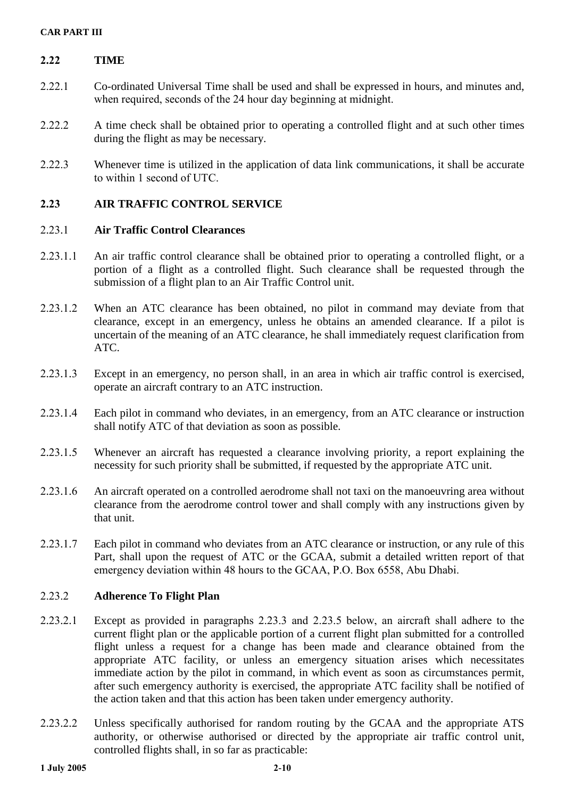# 2.22 **TIME**

- Co-ordinated Universal Time shall be used and shall be expressed in hours, and minutes and, when required, seconds of the 24 hour day beginning at midnight.
- 2.22.2 A time check shall be obtained prior to operating a controlled flight and at such other times during the flight as may be necessary.
- 2.22.3 Whenever time is utilized in the application of data link communications, it shall be accurate to within 1 second of  $UTC$ .

## **AIR TRAFFIC CONTROL SERVICE**

## .. **Air Traffic Control Clearances**

- 2.23.1.1 An air traffic control clearance shall be obtained prior to operating a controlled flight, or a portion of a flight as a controlled flight. Such clearance shall be requested through the submission of a flight plan to an Air Traffic Control unit.
- When an ATC clearance has been obtained, no pilot in command may deviate from that clearance, except in an emergency, unless he obtains an amended clearance. If a pilot is uncertain of the meaning of an ATC clearance, he shall immediately request clarification from ATC.
- 2.23.1.3 Except in an emergency, no person shall, in an area in which air traffic control is exercised, operate an aircraft contrary to an ATC instruction.
- 2.23.1.4 Each pilot in command who deviates, in an emergency, from an ATC clearance or instruction shall notify ATC of that deviation as soon as possible.
- 2.23.1.5 Whenever an aircraft has requested a clearance involving priority, a report explaining the necessity for such priority shall be submitted, if requested by the appropriate ATC unit.
- 2.23.1.6 An aircraft operated on a controlled aerodrome shall not taxi on the manoeuvring area without clearance from the aerodrome control tower and shall comply with any instructions given by that unit.
- 2.23.1.7 Each pilot in command who deviates from an ATC clearance or instruction, or any rule of this Part, shall upon the request of ATC or the GCAA, submit a detailed written report of that emergency deviation within 48 hours to the GCAA, P.O. Box 6558, Abu Dhabi.

# **Adherence To Flight Plan**

- 2.23.2.1 Except as provided in paragraphs 2.23.3 and 2.23.5 below, an aircraft shall adhere to the current flight plan or the applicable portion of a current flight plan submitted for a controlled flight unless a request for a change has been made and clearance obtained from the appropriate ATC facility, or unless an emergency situation arises which necessitates immediate action by the pilot in command, in which event as soon as circumstances permit, after such emergency authority is exercised, the appropriate ATC facility shall be notified of the action taken and that this action has been taken under emergency authority.
- 2.23.2.2 Unless specifically authorised for random routing by the GCAA and the appropriate ATS authority, or otherwise authorised or directed by the appropriate air traffic control unit, controlled flights shall, in so far as practicable: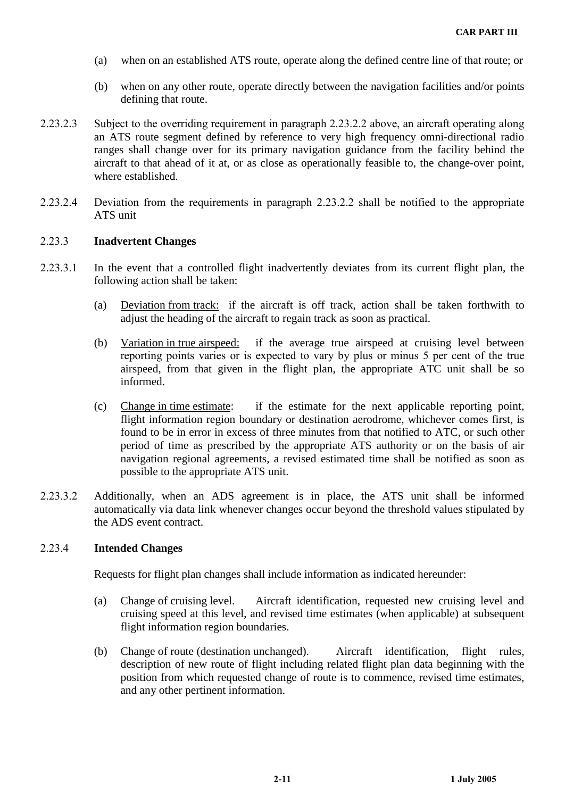- (a) when on an established ATS route, operate along the defined centre line of that route; or
- (b) when on any other route, operate directly between the navigation facilities and/or points defining that route.
- 2.23.2.3 Subject to the overriding requirement in paragraph 2.23.2.2 above, an aircraft operating along an ATS route segment defined by reference to very high frequency omni-directional radio ranges shall change over for its primary navigation guidance from the facility behind the aircraft to that ahead of it at, or as close as operationally feasible to, the change-over point, where established.
- 2.23.2.4 Deviation from the requirements in paragraph 2.23.2.2 shall be notified to the appropriate ATS unit

#### **Inadvertent Changes**

- 2.23.3.1 In the event that a controlled flight inadvertently deviates from its current flight plan, the following action shall be taken:
	- (a) Deviation from track: if the aircraft is off track, action shall be taken forthwith to adjust the heading of the aircraft to regain track as soon as practical.
	- (b) Variation in true airspeed: if the average true airspeed at cruising level between reporting points varies or is expected to vary by plus or minus 5 per cent of the true airspeed, from that given in the flight plan, the appropriate ATC unit shall be so informed.
	- (c) Change in time estimate: if the estimate for the next applicable reporting point, flight information region boundary or destination aerodrome, whichever comes first, is found to be in error in excess of three minutes from that notified to ATC, or such other period of time as prescribed by the appropriate ATS authority or on the basis of air navigation regional agreements, a revised estimated time shall be notified as soon as possible to the appropriate ATS unit.
- Additionally, when an ADS agreement is in place, the ATS unit shall be informed automatically via data link whenever changes occur beyond the threshold values stipulated by the ADS event contract.

#### **Intended Changes**

Requests for flight plan changes shall include information as indicated hereunder:

- (a) Change of cruising level. Aircraft identification, requested new cruising level and cruising speed at this level, and revised time estimates (when applicable) at subsequent flight information region boundaries.
- (b) Change of route (destination unchanged). Aircraft identification, flight rules, description of new route of flight including related flight plan data beginning with the position from which requested change of route is to commence, revised time estimates, and any other pertinent information.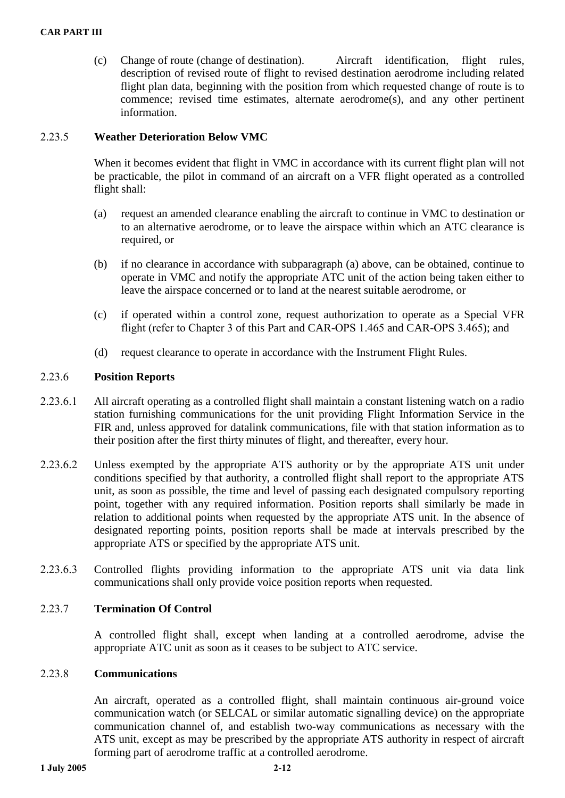(c) Change of route (change of destination). Aircraft identification, flight rules, description of revised route of flight to revised destination aerodrome including related flight plan data, beginning with the position from which requested change of route is to commence; revised time estimates, alternate aerodrome(s), and any other pertinent information.

# **Weather Deterioration Below VMC**

When it becomes evident that flight in VMC in accordance with its current flight plan will not be practicable, the pilot in command of an aircraft on a VFR flight operated as a controlled flight shall:

- (a) request an amended clearance enabling the aircraft to continue in VMC to destination or to an alternative aerodrome, or to leave the airspace within which an ATC clearance is required, or
- (b) if no clearance in accordance with subparagraph (a) above, can be obtained, continue to operate in VMC and notify the appropriate ATC unit of the action being taken either to leave the airspace concerned or to land at the nearest suitable aerodrome, or
- (c) if operated within a control zone, request authorization to operate as a Special VFR flight (refer to Chapter 3 of this Part and CAR-OPS 1.465 and CAR-OPS 3.465); and
- (d) request clearance to operate in accordance with the Instrument Flight Rules.

# **Position Reports**

- 2.23.6.1 All aircraft operating as a controlled flight shall maintain a constant listening watch on a radio station furnishing communications for the unit providing Flight Information Service in the FIR and, unless approved for datalink communications, file with that station information as to their position after the first thirty minutes of flight, and thereafter, every hour.
- 2.23.6.2 Unless exempted by the appropriate ATS authority or by the appropriate ATS unit under conditions specified by that authority, a controlled flight shall report to the appropriate ATS unit, as soon as possible, the time and level of passing each designated compulsory reporting point, together with any required information. Position reports shall similarly be made in relation to additional points when requested by the appropriate ATS unit. In the absence of designated reporting points, position reports shall be made at intervals prescribed by the appropriate ATS or specified by the appropriate ATS unit.
- 2.23.6.3 Controlled flights providing information to the appropriate ATS unit via data link communications shall only provide voice position reports when requested.

## **Termination Of Control**

A controlled flight shall, except when landing at a controlled aerodrome, advise the appropriate ATC unit as soon as it ceases to be subject to ATC service.

## **Communications**

An aircraft, operated as a controlled flight, shall maintain continuous air-ground voice communication watch (or SELCAL or similar automatic signalling device) on the appropriate communication channel of, and establish two-way communications as necessary with the ATS unit, except as may be prescribed by the appropriate ATS authority in respect of aircraft forming part of aerodrome traffic at a controlled aerodrome.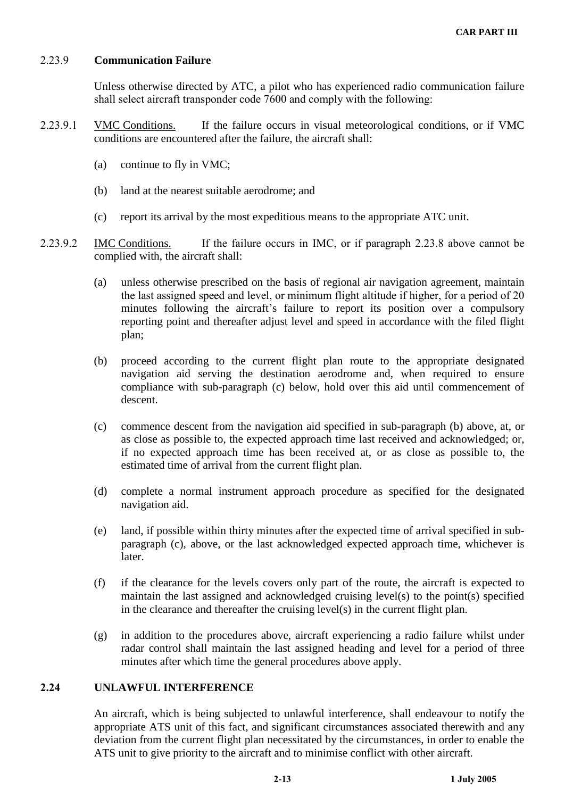## **Communication Failure**

Unless otherwise directed by ATC, a pilot who has experienced radio communication failure shall select aircraft transponder code 7600 and comply with the following:

- 2.23.9.1 VMC Conditions. If the failure occurs in visual meteorological conditions, or if VMC conditions are encountered after the failure, the aircraft shall:
	- (a) continue to fly in VMC;
	- (b) land at the nearest suitable aerodrome; and
	- (c) report its arrival by the most expeditious means to the appropriate ATC unit.
- 2.23.9.2 IMC Conditions. If the failure occurs in IMC, or if paragraph 2.23.8 above cannot be complied with, the aircraft shall:
	- (a) unless otherwise prescribed on the basis of regional air navigation agreement, maintain the last assigned speed and level, or minimum flight altitude if higher, for a period of 20 minutes following the aircraft's failure to report its position over a compulsory reporting point and thereafter adjust level and speed in accordance with the filed flight plan;
	- (b) proceed according to the current flight plan route to the appropriate designated navigation aid serving the destination aerodrome and, when required to ensure compliance with sub-paragraph (c) below, hold over this aid until commencement of descent.
	- (c) commence descent from the navigation aid specified in sub-paragraph (b) above, at, or as close as possible to, the expected approach time last received and acknowledged; or, if no expected approach time has been received at, or as close as possible to, the estimated time of arrival from the current flight plan.
	- (d) complete a normal instrument approach procedure as specified for the designated navigation aid.
	- (e) land, if possible within thirty minutes after the expected time of arrival specified in sub paragraph (c), above, or the last acknowledged expected approach time, whichever is later.
	- (f) if the clearance for the levels covers only part of the route, the aircraft is expected to maintain the last assigned and acknowledged cruising level(s) to the point(s) specified in the clearance and thereafter the cruising level(s) in the current flight plan.
	- (g) in addition to the procedures above, aircraft experiencing a radio failure whilst under radar control shall maintain the last assigned heading and level for a period of three minutes after which time the general procedures above apply.

#### **UNLAWFUL INTERFERENCE**

An aircraft, which is being subjected to unlawful interference, shall endeavour to notify the appropriate ATS unit of this fact, and significant circumstances associated therewith and any deviation from the current flight plan necessitated by the circumstances, in order to enable the ATS unit to give priority to the aircraft and to minimise conflict with other aircraft.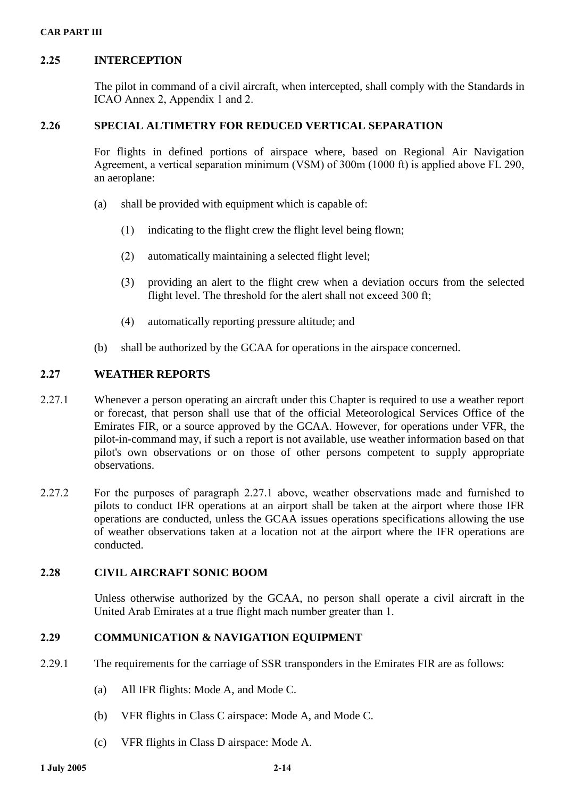# **INTERCEPTION**

The pilot in command of a civil aircraft, when intercepted, shall comply with the Standards in  $ICAO$  Annex 2, Appendix 1 and 2.

# **SPECIAL ALTIMETRY FOR REDUCED VERTICAL SEPARATION**

For flights in defined portions of airspace where, based on Regional Air Navigation Agreement, a vertical separation minimum (VSM) of  $300m$  (1000 ft) is applied above FL 290, an aeroplane:

- (a) shall be provided with equipment which is capable of:
	- $(i)$  indicating to the flight crew the flight level being flown;
	- automatically maintaining a selected flight level;
	- () providing an alert to the flight crew when a deviation occurs from the selected flight level. The threshold for the alert shall not exceed 300 ft;
	- automatically reporting pressure altitude; and
- (b) shall be authorized by the GCAA for operations in the airspace concerned.

# **WEATHER REPORTS**

- 2.27.1 Whenever a person operating an aircraft under this Chapter is required to use a weather report or forecast, that person shall use that of the official Meteorological Services Office of the Emirates FIR, or a source approved by the GCAA. However, for operations under VFR, the pilot-in-command may, if such a report is not available, use weather information based on that pilot's own observations or on those of other persons competent to supply appropriate observations.
- 2.27.2 For the purposes of paragraph 2.27.1 above, weather observations made and furnished to pilots to conduct IFR operations at an airport shall be taken at the airport where those IFR operations are conducted, unless the GCAA issues operations specifications allowing the use of weather observations taken at a location not at the airport where the IFR operations are conducted.

## **CIVIL AIRCRAFT SONIC BOOM**

Unless otherwise authorized by the GCAA, no person shall operate a civil aircraft in the United Arab Emirates at a true flight mach number greater than 1.

# **COMMUNICATION & NAVIGATION EQUIPMENT**

- 2.29.1 The requirements for the carriage of SSR transponders in the Emirates FIR are as follows:
	- (a) All IFR flights: Mode A, and Mode C.
	- (b) VFR flights in Class C airspace: Mode A, and Mode C.
	- (c) VFR flights in Class D airspace: Mode A.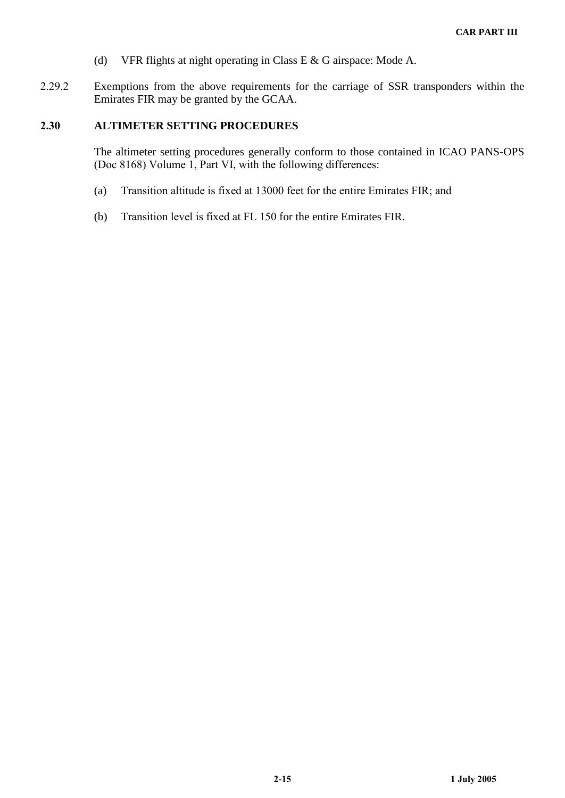- (d) VFR flights at night operating in Class E & G airspace: Mode A.
- Exemptions from the above requirements for the carriage of SSR transponders within the Emirates FIR may be granted by the GCAA.

#### **ALTIMETER SETTING PROCEDURES**

The altimeter setting procedures generally conform to those contained in ICAO PANS-OPS (Doc 8168) Volume 1, Part VI, with the following differences:

- (a) Transition altitude is fixed at  $13000$  feet for the entire Emirates FIR; and
- (b) Transition level is fixed at FL  $150$  for the entire Emirates FIR.